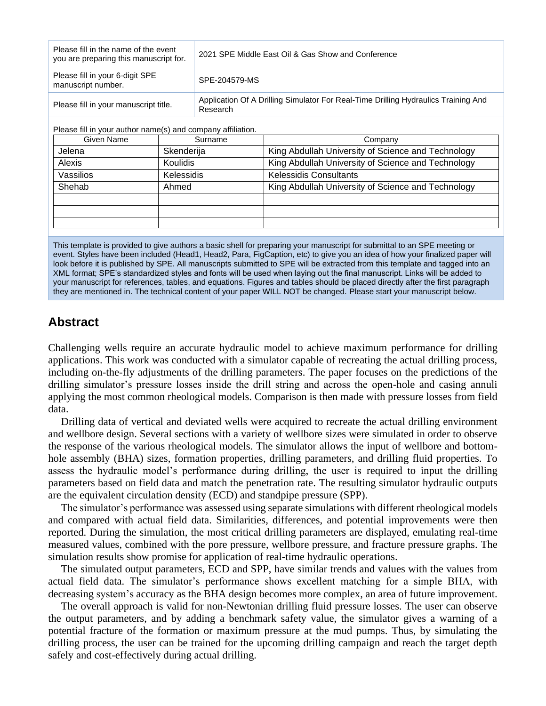| Please fill in the name of the event<br>you are preparing this manuscript for. | 2021 SPE Middle East Oil & Gas Show and Conference                                             |
|--------------------------------------------------------------------------------|------------------------------------------------------------------------------------------------|
| Please fill in your 6-digit SPE<br>manuscript number.                          | SPE-204579-MS                                                                                  |
| Please fill in your manuscript title.                                          | Application Of A Drilling Simulator For Real-Time Drilling Hydraulics Training And<br>Research |

Please fill in your author name(s) and company affiliation.

| Given Name | Surname         | Company                                            |
|------------|-----------------|----------------------------------------------------|
| Jelena     | Skenderija      | King Abdullah University of Science and Technology |
| Alexis     | <b>Koulidis</b> | King Abdullah University of Science and Technology |
| Vassilios  | Kelessidis      | <b>Kelessidis Consultants</b>                      |
| Shehab     | Ahmed           | King Abdullah University of Science and Technology |
|            |                 |                                                    |
|            |                 |                                                    |
|            |                 |                                                    |

This template is provided to give authors a basic shell for preparing your manuscript for submittal to an SPE meeting or event. Styles have been included (Head1, Head2, Para, FigCaption, etc) to give you an idea of how your finalized paper will look before it is published by SPE. All manuscripts submitted to SPE will be extracted from this template and tagged into an XML format; SPE's standardized styles and fonts will be used when laying out the final manuscript. Links will be added to your manuscript for references, tables, and equations. Figures and tables should be placed directly after the first paragraph they are mentioned in. The technical content of your paper WILL NOT be changed. Please start your manuscript below.

# **Abstract**

Challenging wells require an accurate hydraulic model to achieve maximum performance for drilling applications. This work was conducted with a simulator capable of recreating the actual drilling process, including on-the-fly adjustments of the drilling parameters. The paper focuses on the predictions of the drilling simulator's pressure losses inside the drill string and across the open-hole and casing annuli applying the most common rheological models. Comparison is then made with pressure losses from field data.

Drilling data of vertical and deviated wells were acquired to recreate the actual drilling environment and wellbore design. Several sections with a variety of wellbore sizes were simulated in order to observe the response of the various rheological models. The simulator allows the input of wellbore and bottomhole assembly (BHA) sizes, formation properties, drilling parameters, and drilling fluid properties. To assess the hydraulic model's performance during drilling, the user is required to input the drilling parameters based on field data and match the penetration rate. The resulting simulator hydraulic outputs are the equivalent circulation density (ECD) and standpipe pressure (SPP).

The simulator's performance was assessed using separate simulations with different rheological models and compared with actual field data. Similarities, differences, and potential improvements were then reported. During the simulation, the most critical drilling parameters are displayed, emulating real-time measured values, combined with the pore pressure, wellbore pressure, and fracture pressure graphs. The simulation results show promise for application of real-time hydraulic operations.

The simulated output parameters, ECD and SPP, have similar trends and values with the values from actual field data. The simulator's performance shows excellent matching for a simple BHA, with decreasing system's accuracy as the BHA design becomes more complex, an area of future improvement.

The overall approach is valid for non-Newtonian drilling fluid pressure losses. The user can observe the output parameters, and by adding a benchmark safety value, the simulator gives a warning of a potential fracture of the formation or maximum pressure at the mud pumps. Thus, by simulating the drilling process, the user can be trained for the upcoming drilling campaign and reach the target depth safely and cost-effectively during actual drilling.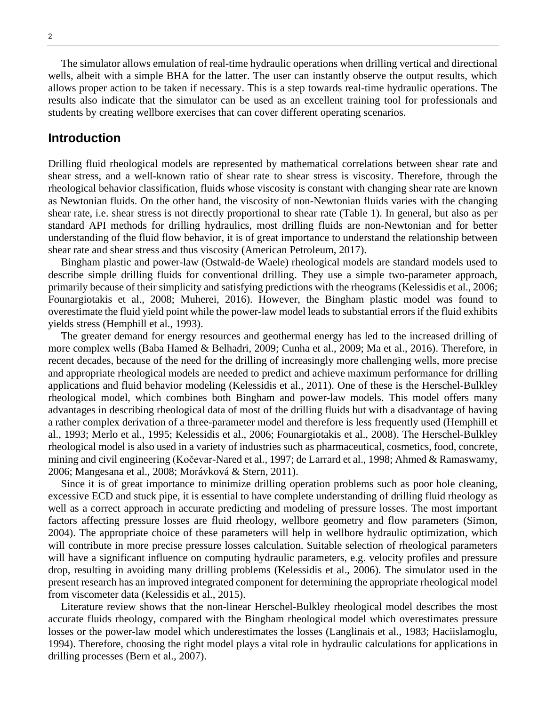The simulator allows emulation of real-time hydraulic operations when drilling vertical and directional wells, albeit with a simple BHA for the latter. The user can instantly observe the output results, which allows proper action to be taken if necessary. This is a step towards real-time hydraulic operations. The results also indicate that the simulator can be used as an excellent training tool for professionals and students by creating wellbore exercises that can cover different operating scenarios.

## **Introduction**

Drilling fluid rheological models are represented by mathematical correlations between shear rate and shear stress, and a well-known ratio of shear rate to shear stress is viscosity. Therefore, through the rheological behavior classification, fluids whose viscosity is constant with changing shear rate are known as Newtonian fluids. On the other hand, the viscosity of non-Newtonian fluids varies with the changing shear rate, i.e. shear stress is not directly proportional to shear rate (Table 1). In general, but also as per standard API methods for drilling hydraulics, most drilling fluids are non-Newtonian and for better understanding of the fluid flow behavior, it is of great importance to understand the relationship between shear rate and shear stress and thus viscosity (American Petroleum, 2017).

Bingham plastic and power-law (Ostwald-de Waele) rheological models are standard models used to describe simple drilling fluids for conventional drilling. They use a simple two-parameter approach, primarily because of their simplicity and satisfying predictions with the rheograms (Kelessidis et al., 2006; Founargiotakis et al., 2008; Muherei, 2016). However, the Bingham plastic model was found to overestimate the fluid yield point while the power-law model leads to substantial errors if the fluid exhibits yields stress (Hemphill et al., 1993).

The greater demand for energy resources and geothermal energy has led to the increased drilling of more complex wells (Baba Hamed & Belhadri, 2009; Cunha et al., 2009; Ma et al., 2016). Therefore, in recent decades, because of the need for the drilling of increasingly more challenging wells, more precise and appropriate rheological models are needed to predict and achieve maximum performance for drilling applications and fluid behavior modeling (Kelessidis et al., 2011). One of these is the Herschel-Bulkley rheological model, which combines both Bingham and power-law models. This model offers many advantages in describing rheological data of most of the drilling fluids but with a disadvantage of having a rather complex derivation of a three-parameter model and therefore is less frequently used (Hemphill et al., 1993; Merlo et al., 1995; Kelessidis et al., 2006; Founargiotakis et al., 2008). The Herschel-Bulkley rheological model is also used in a variety of industries such as pharmaceutical, cosmetics, food, concrete, mining and civil engineering (Kočevar-Nared et al., 1997; de Larrard et al., 1998; Ahmed & Ramaswamy, 2006; Mangesana et al., 2008; Morávková & Stern, 2011).

Since it is of great importance to minimize drilling operation problems such as poor hole cleaning, excessive ECD and stuck pipe, it is essential to have complete understanding of drilling fluid rheology as well as a correct approach in accurate predicting and modeling of pressure losses. The most important factors affecting pressure losses are fluid rheology, wellbore geometry and flow parameters (Simon, 2004). The appropriate choice of these parameters will help in wellbore hydraulic optimization, which will contribute in more precise pressure losses calculation. Suitable selection of rheological parameters will have a significant influence on computing hydraulic parameters, e.g. velocity profiles and pressure drop, resulting in avoiding many drilling problems (Kelessidis et al., 2006). The simulator used in the present research has an improved integrated component for determining the appropriate rheological model from viscometer data (Kelessidis et al., 2015).

Literature review shows that the non-linear Herschel-Bulkley rheological model describes the most accurate fluids rheology, compared with the Bingham rheological model which overestimates pressure losses or the power-law model which underestimates the losses (Langlinais et al., 1983; Haciislamoglu, 1994). Therefore, choosing the right model plays a vital role in hydraulic calculations for applications in drilling processes (Bern et al., 2007).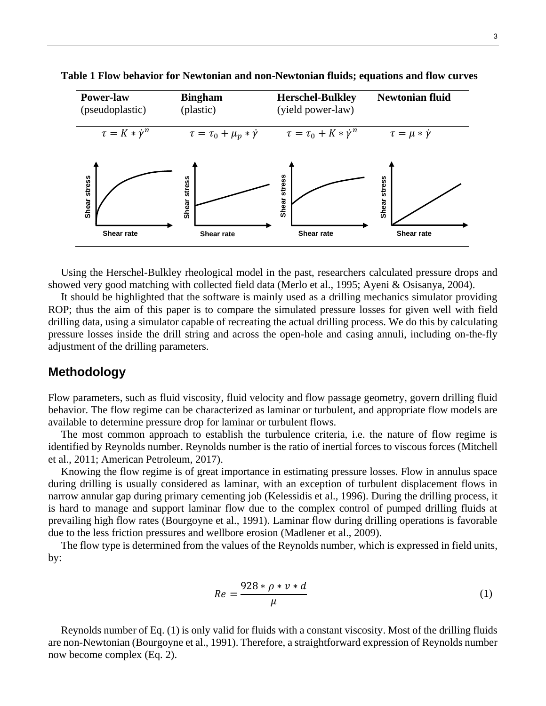

**Table 1 Flow behavior for Newtonian and non-Newtonian fluids; equations and flow curves**

Using the Herschel-Bulkley rheological model in the past, researchers calculated pressure drops and showed very good matching with collected field data (Merlo et al., 1995; Ayeni & Osisanya, 2004).

It should be highlighted that the software is mainly used as a drilling mechanics simulator providing ROP; thus the aim of this paper is to compare the simulated pressure losses for given well with field drilling data, using a simulator capable of recreating the actual drilling process. We do this by calculating pressure losses inside the drill string and across the open-hole and casing annuli, including on-the-fly adjustment of the drilling parameters.

## **Methodology**

Flow parameters, such as fluid viscosity, fluid velocity and flow passage geometry, govern drilling fluid behavior. The flow regime can be characterized as laminar or turbulent, and appropriate flow models are available to determine pressure drop for laminar or turbulent flows.

The most common approach to establish the turbulence criteria, i.e. the nature of flow regime is identified by Reynolds number. Reynolds number is the ratio of inertial forces to viscous forces (Mitchell et al., 2011; American Petroleum, 2017).

Knowing the flow regime is of great importance in estimating pressure losses. Flow in annulus space during drilling is usually considered as laminar, with an exception of turbulent displacement flows in narrow annular gap during primary cementing job (Kelessidis et al., 1996). During the drilling process, it is hard to manage and support laminar flow due to the complex control of pumped drilling fluids at prevailing high flow rates (Bourgoyne et al., 1991). Laminar flow during drilling operations is favorable due to the less friction pressures and wellbore erosion (Madlener et al., 2009).

The flow type is determined from the values of the Reynolds number, which is expressed in field units, by:

$$
Re = \frac{928 * \rho * \nu * d}{\mu} \tag{1}
$$

Reynolds number of Eq. (1) is only valid for fluids with a constant viscosity. Most of the drilling fluids are non-Newtonian (Bourgoyne et al., 1991). Therefore, a straightforward expression of Reynolds number now become complex (Eq. 2).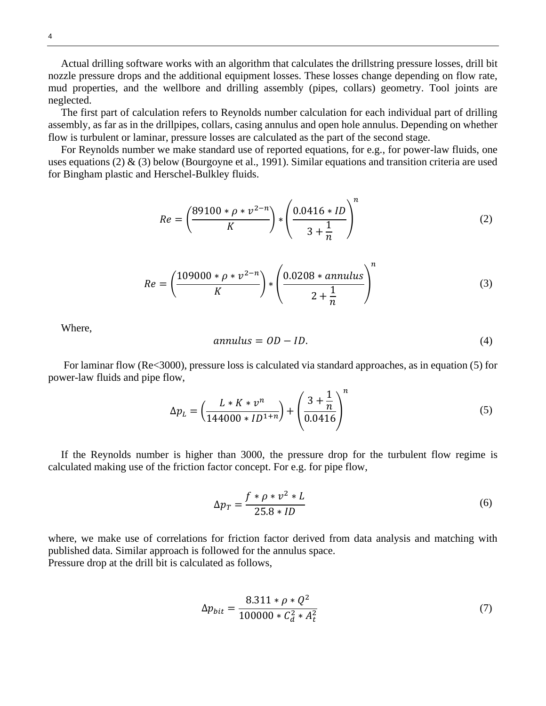Actual drilling software works with an algorithm that calculates the drillstring pressure losses, drill bit nozzle pressure drops and the additional equipment losses. These losses change depending on flow rate, mud properties, and the wellbore and drilling assembly (pipes, collars) geometry. Tool joints are neglected.

The first part of calculation refers to Reynolds number calculation for each individual part of drilling assembly, as far as in the drillpipes, collars, casing annulus and open hole annulus. Depending on whether flow is turbulent or laminar, pressure losses are calculated as the part of the second stage.

For Reynolds number we make standard use of reported equations, for e.g., for power-law fluids, one uses equations (2) & (3) below (Bourgoyne et al., 1991). Similar equations and transition criteria are used for Bingham plastic and Herschel-Bulkley fluids.

$$
Re = \left(\frac{89100 * \rho * \nu^{2-n}}{K}\right) * \left(\frac{0.0416 * ID}{3 + \frac{1}{n}}\right)^n
$$
 (2)

$$
Re = \left(\frac{109000 * \rho * \nu^{2-n}}{K}\right) * \left(\frac{0.0208 * annulus}{2 + \frac{1}{n}}\right)^{n}
$$
 (3)

Where,

$$
annulus = OD - ID.
$$
\n<sup>(4)</sup>

For laminar flow (Re<3000), pressure loss is calculated via standard approaches, as in equation (5) for power-law fluids and pipe flow,

$$
\Delta p_L = \left(\frac{L * K * v^n}{144000 * ID^{1+n}}\right) + \left(\frac{3 + \frac{1}{n}}{0.0416}\right)^n\tag{5}
$$

If the Reynolds number is higher than 3000, the pressure drop for the turbulent flow regime is calculated making use of the friction factor concept. For e.g. for pipe flow,

$$
\Delta p_T = \frac{f * \rho * v^2 * L}{25.8 * ID} \tag{6}
$$

where, we make use of correlations for friction factor derived from data analysis and matching with published data. Similar approach is followed for the annulus space. Pressure drop at the drill bit is calculated as follows,

$$
\Delta p_{bit} = \frac{8.311 \times \rho \times Q^2}{100000 \times C_d^2 \times A_t^2}
$$
 (7)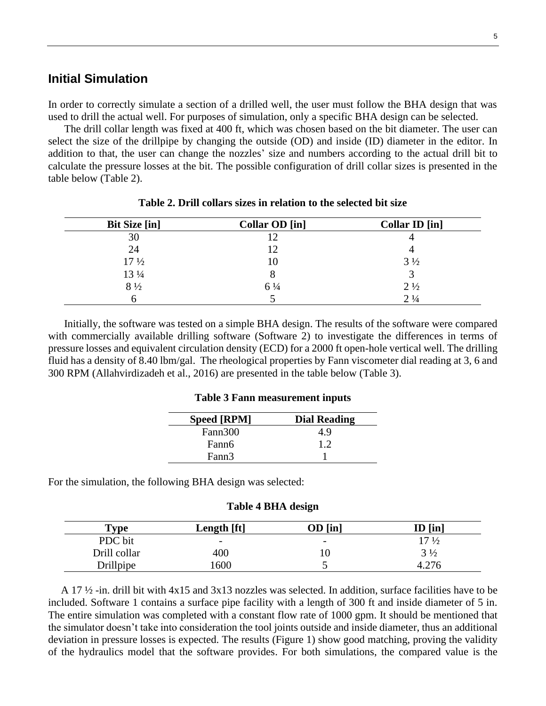## **Initial Simulation**

In order to correctly simulate a section of a drilled well, the user must follow the BHA design that was used to drill the actual well. For purposes of simulation, only a specific BHA design can be selected.

The drill collar length was fixed at 400 ft, which was chosen based on the bit diameter. The user can select the size of the drillpipe by changing the outside (OD) and inside (ID) diameter in the editor. In addition to that, the user can change the nozzles' size and numbers according to the actual drill bit to calculate the pressure losses at the bit. The possible configuration of drill collar sizes is presented in the table below (Table 2).

| <b>Bit Size [in]</b> | Collar OD [in] | Collar ID [in] |
|----------------------|----------------|----------------|
| 30                   |                |                |
| 24                   | 12             |                |
| $17\frac{1}{2}$      | 10             | $3\frac{1}{2}$ |
| 13 1/4               |                |                |
| $8\frac{1}{2}$       | $6\frac{1}{4}$ | $2\frac{1}{2}$ |
|                      |                | $2\frac{1}{4}$ |

**Table 2. Drill collars sizes in relation to the selected bit size**

Initially, the software was tested on a simple BHA design. The results of the software were compared with commercially available drilling software (Software 2) to investigate the differences in terms of pressure losses and equivalent circulation density (ECD) for a 2000 ft open-hole vertical well. The drilling fluid has a density of 8.40 lbm/gal. The rheological properties by Fann viscometer dial reading at 3, 6 and 300 RPM (Allahvirdizadeh et al., 2016) are presented in the table below (Table 3).

#### **Table 3 Fann measurement inputs**

| <b>Speed [RPM]</b> | <b>Dial Reading</b> |
|--------------------|---------------------|
| Fann300            | 4.9                 |
| Fann6              | 1.2                 |
| Fann3              |                     |

For the simulation, the following BHA design was selected:

| Table 4 BHA design |  |  |
|--------------------|--|--|
|--------------------|--|--|

| $T$ <sub>V</sub> pe | Length [ft]              | $OD$ [in]                | $ID$ [in]       |
|---------------------|--------------------------|--------------------------|-----------------|
| PDC bit             | $\overline{\phantom{m}}$ | $\overline{\phantom{0}}$ | $17\frac{1}{2}$ |
| Drill collar        | 400                      | ΙU                       | $3\frac{1}{2}$  |
| Drillpipe           | 600                      | ັ                        | <b>AF</b>       |

A 17 ½ -in. drill bit with 4x15 and 3x13 nozzles was selected. In addition, surface facilities have to be included. Software 1 contains a surface pipe facility with a length of 300 ft and inside diameter of 5 in. The entire simulation was completed with a constant flow rate of 1000 gpm. It should be mentioned that the simulator doesn't take into consideration the tool joints outside and inside diameter, thus an additional deviation in pressure losses is expected. The results (Figure 1) show good matching, proving the validity of the hydraulics model that the software provides. For both simulations, the compared value is the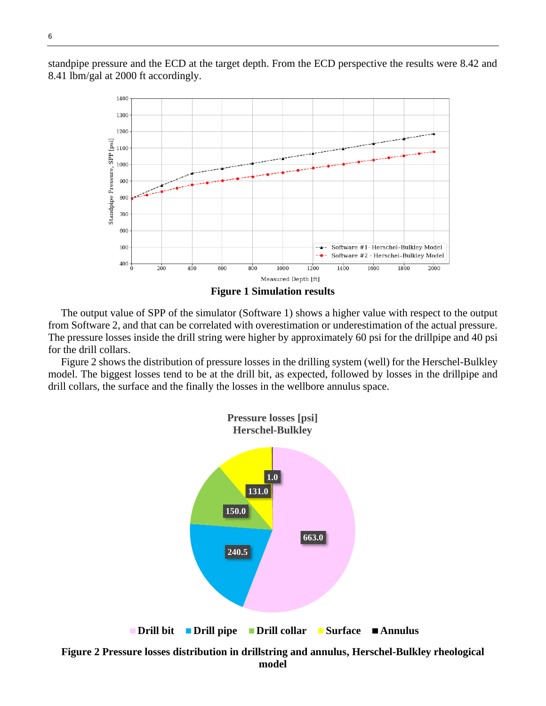standpipe pressure and the ECD at the target depth. From the ECD perspective the results were 8.42 and 8.41 lbm/gal at 2000 ft accordingly.



The output value of SPP of the simulator (Software 1) shows a higher value with respect to the output from Software 2, and that can be correlated with overestimation or underestimation of the actual pressure. The pressure losses inside the drill string were higher by approximately 60 psi for the drillpipe and 40 psi for the drill collars.

Figure 2 shows the distribution of pressure losses in the drilling system (well) for the Herschel-Bulkley model. The biggest losses tend to be at the drill bit, as expected, followed by losses in the drillpipe and drill collars, the surface and the finally the losses in the wellbore annulus space.

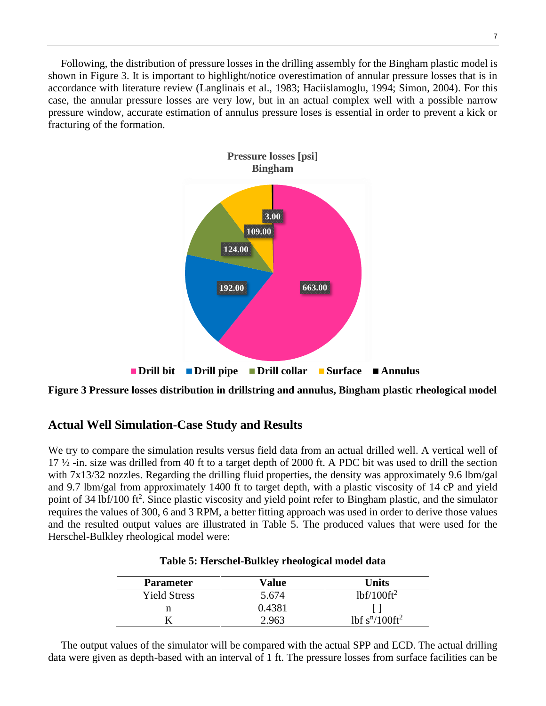Following, the distribution of pressure losses in the drilling assembly for the Bingham plastic model is shown in Figure 3. It is important to highlight/notice overestimation of annular pressure losses that is in accordance with literature review (Langlinais et al., 1983; Haciislamoglu, 1994; Simon, 2004). For this case, the annular pressure losses are very low, but in an actual complex well with a possible narrow pressure window, accurate estimation of annulus pressure loses is essential in order to prevent a kick or fracturing of the formation.



**Figure 3 Pressure losses distribution in drillstring and annulus, Bingham plastic rheological model**

## **Actual Well Simulation-Case Study and Results**

We try to compare the simulation results versus field data from an actual drilled well. A vertical well of 17 ½ -in. size was drilled from 40 ft to a target depth of 2000 ft. A PDC bit was used to drill the section with 7x13/32 nozzles. Regarding the drilling fluid properties, the density was approximately 9.6 lbm/gal and 9.7 lbm/gal from approximately 1400 ft to target depth, with a plastic viscosity of 14 cP and yield point of 34 lbf/100 ft<sup>2</sup>. Since plastic viscosity and yield point refer to Bingham plastic, and the simulator requires the values of 300, 6 and 3 RPM, a better fitting approach was used in order to derive those values and the resulted output values are illustrated in Table 5. The produced values that were used for the Herschel-Bulkley rheological model were:

| <b>Parameter</b>    | Value  | <b>Units</b>    |
|---------------------|--------|-----------------|
| <b>Yield Stress</b> | 5.674  | $1bf/100ft^2$   |
|                     | 0.4381 |                 |
|                     | 2.963  | $1bf sn/100ft2$ |

The output values of the simulator will be compared with the actual SPP and ECD. The actual drilling data were given as depth-based with an interval of 1 ft. The pressure losses from surface facilities can be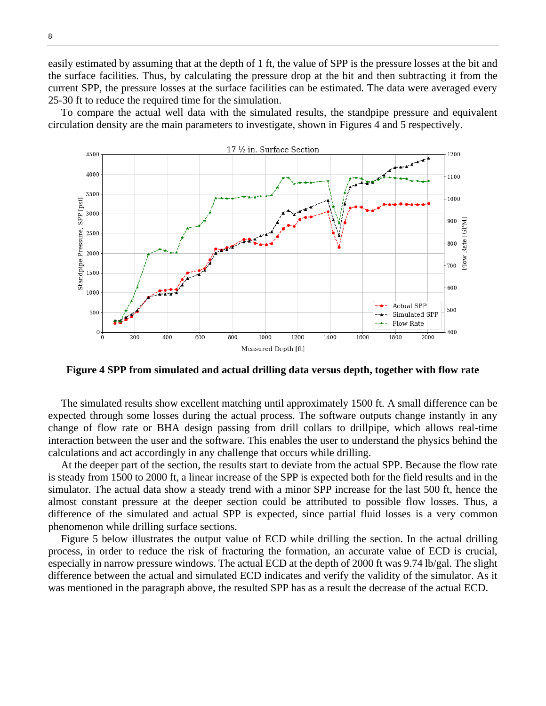easily estimated by assuming that at the depth of 1 ft, the value of SPP is the pressure losses at the bit and the surface facilities. Thus, by calculating the pressure drop at the bit and then subtracting it from the current SPP, the pressure losses at the surface facilities can be estimated. The data were averaged every 25-30 ft to reduce the required time for the simulation.

To compare the actual well data with the simulated results, the standpipe pressure and equivalent circulation density are the main parameters to investigate, shown in Figures 4 and 5 respectively.



**Figure 4 SPP from simulated and actual drilling data versus depth, together with flow rate**

The simulated results show excellent matching until approximately 1500 ft. A small difference can be expected through some losses during the actual process. The software outputs change instantly in any change of flow rate or BHA design passing from drill collars to drillpipe, which allows real-time interaction between the user and the software. This enables the user to understand the physics behind the calculations and act accordingly in any challenge that occurs while drilling.

At the deeper part of the section, the results start to deviate from the actual SPP. Because the flow rate is steady from 1500 to 2000 ft, a linear increase of the SPP is expected both for the field results and in the simulator. The actual data show a steady trend with a minor SPP increase for the last 500 ft, hence the almost constant pressure at the deeper section could be attributed to possible flow losses. Thus, a difference of the simulated and actual SPP is expected, since partial fluid losses is a very common phenomenon while drilling surface sections.

Figure 5 below illustrates the output value of ECD while drilling the section. In the actual drilling process, in order to reduce the risk of fracturing the formation, an accurate value of ECD is crucial, especially in narrow pressure windows. The actual ECD at the depth of 2000 ft was 9.74 lb/gal. The slight difference between the actual and simulated ECD indicates and verify the validity of the simulator. As it was mentioned in the paragraph above, the resulted SPP has as a result the decrease of the actual ECD.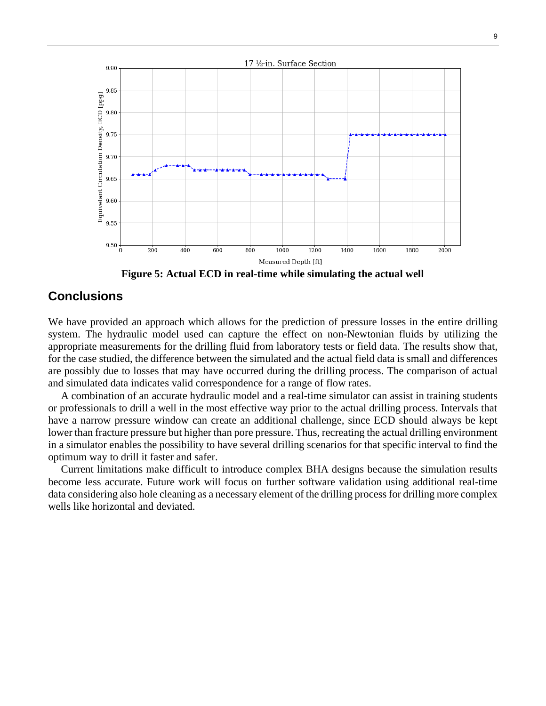

**Figure 5: Actual ECD in real-time while simulating the actual well**

## **Conclusions**

We have provided an approach which allows for the prediction of pressure losses in the entire drilling system. The hydraulic model used can capture the effect on non-Newtonian fluids by utilizing the appropriate measurements for the drilling fluid from laboratory tests or field data. The results show that, for the case studied, the difference between the simulated and the actual field data is small and differences are possibly due to losses that may have occurred during the drilling process. The comparison of actual and simulated data indicates valid correspondence for a range of flow rates.

A combination of an accurate hydraulic model and a real-time simulator can assist in training students or professionals to drill a well in the most effective way prior to the actual drilling process. Intervals that have a narrow pressure window can create an additional challenge, since ECD should always be kept lower than fracture pressure but higher than pore pressure. Thus, recreating the actual drilling environment in a simulator enables the possibility to have several drilling scenarios for that specific interval to find the optimum way to drill it faster and safer.

Current limitations make difficult to introduce complex BHA designs because the simulation results become less accurate. Future work will focus on further software validation using additional real-time data considering also hole cleaning as a necessary element of the drilling processfor drilling more complex wells like horizontal and deviated.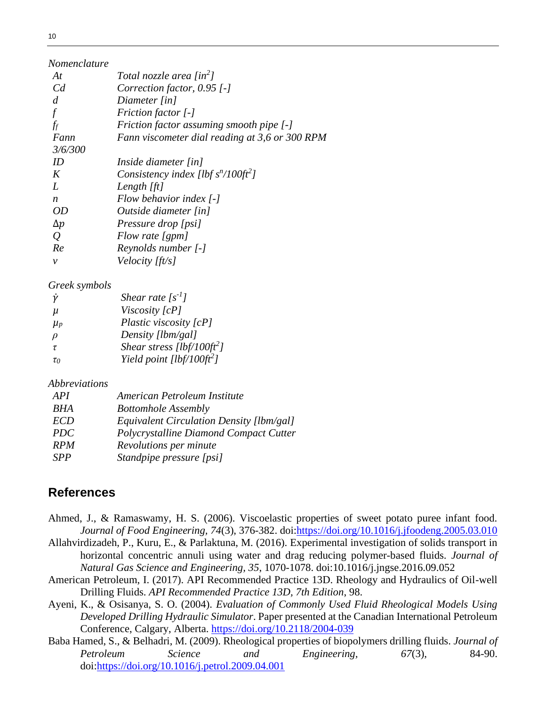| Nomenclature   |                                                |
|----------------|------------------------------------------------|
| At             | Total nozzle area [in <sup>2</sup> ]           |
| C <sub>d</sub> | Correction factor, $0.95$ [-]                  |
| d              | Diameter [in]                                  |
|                | <i>Friction factor</i> [-]                     |
| ff             | Friction factor assuming smooth pipe [-]       |
| Fann           | Fann viscometer dial reading at 3,6 or 300 RPM |
| 3/6/300        |                                                |
| ID             | Inside diameter [in]                           |
| K              | Consistency index [lbf $s^n/100ft^2$ ]         |
| L              | Length $[ft]$                                  |
| n              | Flow behavior index $[-]$                      |
| OD             | Outside diameter [in]                          |
| $\Delta p$     | Pressure drop [psi]                            |
| $\varrho$      | Flow rate [gpm]                                |
| Re             | Reynolds number [-]                            |
| ν              | <i>Velocity [ft/s]</i>                         |

#### *Greek symbols*

| ν        | Shear rate $[s^{-1}]$                  |
|----------|----------------------------------------|
| $\mu$    | Viscosity [cP]                         |
| $\mu_p$  | Plastic viscosity [cP]                 |
| D        | Density [lbm/gal]                      |
| τ        | Shear stress [lbf/100ft <sup>2</sup> ] |
| $\tau_0$ | Yield point [lbf/100ft <sup>2</sup> ]  |

### *Abbreviations*

| <b>API</b> | American Petroleum Institute             |
|------------|------------------------------------------|
| <b>BHA</b> | <b>Bottomhole Assembly</b>               |
| <b>ECD</b> | Equivalent Circulation Density [lbm/gal] |
| <b>PDC</b> | Polycrystalline Diamond Compact Cutter   |
| <b>RPM</b> | Revolutions per minute                   |
| SPP        | Standpipe pressure [psi]                 |

## **References**

- Ahmed, J., & Ramaswamy, H. S. (2006). Viscoelastic properties of sweet potato puree infant food. *Journal of Food Engineering, 74*(3), 376-382. doi[:https://doi.org/10.1016/j.jfoodeng.2005.03.010](https://doi.org/10.1016/j.jfoodeng.2005.03.010)
- Allahvirdizadeh, P., Kuru, E., & Parlaktuna, M. (2016). Experimental investigation of solids transport in horizontal concentric annuli using water and drag reducing polymer-based fluids. *Journal of Natural Gas Science and Engineering, 35*, 1070-1078. doi:10.1016/j.jngse.2016.09.052
- American Petroleum, I. (2017). API Recommended Practice 13D. Rheology and Hydraulics of Oil-well Drilling Fluids. *API Recommended Practice 13D, 7th Edition*, 98.
- Ayeni, K., & Osisanya, S. O. (2004). *Evaluation of Commonly Used Fluid Rheological Models Using Developed Drilling Hydraulic Simulator*. Paper presented at the Canadian International Petroleum Conference, Calgary, Alberta.<https://doi.org/10.2118/2004-039>
- Baba Hamed, S., & Belhadri, M. (2009). Rheological properties of biopolymers drilling fluids. *Journal of Petroleum Science and Engineering, 67*(3), 84-90. doi[:https://doi.org/10.1016/j.petrol.2009.04.001](https://doi.org/10.1016/j.petrol.2009.04.001)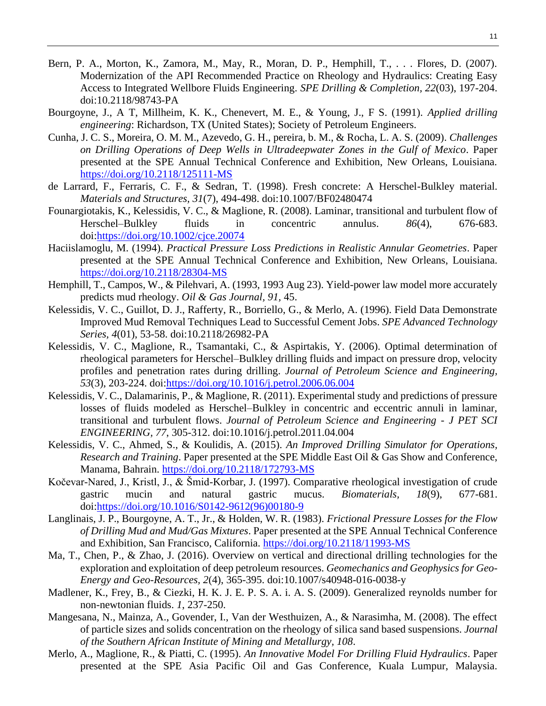- Bern, P. A., Morton, K., Zamora, M., May, R., Moran, D. P., Hemphill, T., . . . Flores, D. (2007). Modernization of the API Recommended Practice on Rheology and Hydraulics: Creating Easy Access to Integrated Wellbore Fluids Engineering. *SPE Drilling & Completion, 22*(03), 197-204. doi:10.2118/98743-PA
- Bourgoyne, J., A T, Millheim, K. K., Chenevert, M. E., & Young, J., F S. (1991). *Applied drilling engineering*: Richardson, TX (United States); Society of Petroleum Engineers.
- Cunha, J. C. S., Moreira, O. M. M., Azevedo, G. H., pereira, b. M., & Rocha, L. A. S. (2009). *Challenges on Drilling Operations of Deep Wells in Ultradeepwater Zones in the Gulf of Mexico*. Paper presented at the SPE Annual Technical Conference and Exhibition, New Orleans, Louisiana. <https://doi.org/10.2118/125111-MS>
- de Larrard, F., Ferraris, C. F., & Sedran, T. (1998). Fresh concrete: A Herschel-Bulkley material. *Materials and Structures, 31*(7), 494-498. doi:10.1007/BF02480474
- Founargiotakis, K., Kelessidis, V. C., & Maglione, R. (2008). Laminar, transitional and turbulent flow of Herschel–Bulkley fluids in concentric annulus. *86*(4), 676-683. doi[:https://doi.org/10.1002/cjce.20074](https://doi.org/10.1002/cjce.20074)
- Haciislamoglu, M. (1994). *Practical Pressure Loss Predictions in Realistic Annular Geometries*. Paper presented at the SPE Annual Technical Conference and Exhibition, New Orleans, Louisiana. <https://doi.org/10.2118/28304-MS>
- Hemphill, T., Campos, W., & Pilehvari, A. (1993, 1993 Aug 23). Yield-power law model more accurately predicts mud rheology. *Oil & Gas Journal, 91,* 45.
- Kelessidis, V. C., Guillot, D. J., Rafferty, R., Borriello, G., & Merlo, A. (1996). Field Data Demonstrate Improved Mud Removal Techniques Lead to Successful Cement Jobs. *SPE Advanced Technology Series, 4*(01), 53-58. doi:10.2118/26982-PA
- Kelessidis, V. C., Maglione, R., Tsamantaki, C., & Aspirtakis, Y. (2006). Optimal determination of rheological parameters for Herschel–Bulkley drilling fluids and impact on pressure drop, velocity profiles and penetration rates during drilling. *Journal of Petroleum Science and Engineering, 53*(3), 203-224. doi[:https://doi.org/10.1016/j.petrol.2006.06.004](https://doi.org/10.1016/j.petrol.2006.06.004)
- Kelessidis, V. C., Dalamarinis, P., & Maglione, R. (2011). Experimental study and predictions of pressure losses of fluids modeled as Herschel–Bulkley in concentric and eccentric annuli in laminar, transitional and turbulent flows. *Journal of Petroleum Science and Engineering - J PET SCI ENGINEERING, 77*, 305-312. doi:10.1016/j.petrol.2011.04.004
- Kelessidis, V. C., Ahmed, S., & Koulidis, A. (2015). *An Improved Drilling Simulator for Operations, Research and Training*. Paper presented at the SPE Middle East Oil & Gas Show and Conference, Manama, Bahrain.<https://doi.org/10.2118/172793-MS>
- Kočevar-Nared, J., Kristl, J., & Šmid-Korbar, J. (1997). Comparative rheological investigation of crude gastric mucin and natural gastric mucus. *Biomaterials, 18*(9), 677-681. doi[:https://doi.org/10.1016/S0142-9612\(96\)00180-9](https://doi.org/10.1016/S0142-9612(96)00180-9)
- Langlinais, J. P., Bourgoyne, A. T., Jr., & Holden, W. R. (1983). *Frictional Pressure Losses for the Flow of Drilling Mud and Mud/Gas Mixtures*. Paper presented at the SPE Annual Technical Conference and Exhibition, San Francisco, California.<https://doi.org/10.2118/11993-MS>
- Ma, T., Chen, P., & Zhao, J. (2016). Overview on vertical and directional drilling technologies for the exploration and exploitation of deep petroleum resources. *Geomechanics and Geophysics for Geo-Energy and Geo-Resources, 2*(4), 365-395. doi:10.1007/s40948-016-0038-y
- Madlener, K., Frey, B., & Ciezki, H. K. J. E. P. S. A. i. A. S. (2009). Generalized reynolds number for non-newtonian fluids. *1*, 237-250.
- Mangesana, N., Mainza, A., Govender, I., Van der Westhuizen, A., & Narasimha, M. (2008). The effect of particle sizes and solids concentration on the rheology of silica sand based suspensions. *Journal of the Southern African Institute of Mining and Metallurgy, 108*.
- Merlo, A., Maglione, R., & Piatti, C. (1995). *An Innovative Model For Drilling Fluid Hydraulics*. Paper presented at the SPE Asia Pacific Oil and Gas Conference, Kuala Lumpur, Malaysia.